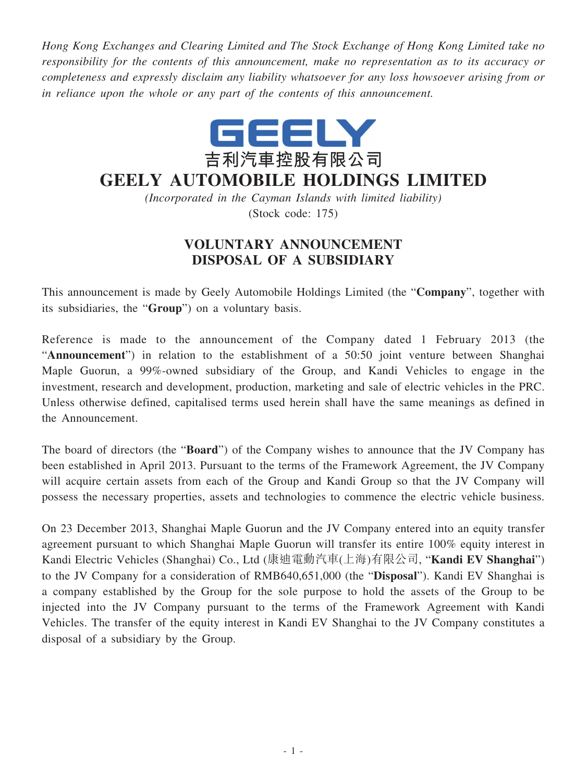*Hong Kong Exchanges and Clearing Limited and The Stock Exchange of Hong Kong Limited take no responsibility for the contents of this announcement, make no representation as to its accuracy or completeness and expressly disclaim any liability whatsoever for any loss howsoever arising from or in reliance upon the whole or any part of the contents of this announcement.*



## **GEELY AUTOMOBILE HOLDINGS LIMITED**

*(Incorporated in the Cayman Islands with limited liability)* (Stock code: 175)

## **VOLUNTARY ANNOUNCEMENT DISPOSAL OF A SUBSIDIARY**

This announcement is made by Geely Automobile Holdings Limited (the "**Company**", together with its subsidiaries, the "**Group**") on a voluntary basis.

Reference is made to the announcement of the Company dated 1 February 2013 (the "**Announcement**") in relation to the establishment of a 50:50 joint venture between Shanghai Maple Guorun, a 99%-owned subsidiary of the Group, and Kandi Vehicles to engage in the investment, research and development, production, marketing and sale of electric vehicles in the PRC. Unless otherwise defined, capitalised terms used herein shall have the same meanings as defined in the Announcement.

The board of directors (the "**Board**") of the Company wishes to announce that the JV Company has been established in April 2013. Pursuant to the terms of the Framework Agreement, the JV Company will acquire certain assets from each of the Group and Kandi Group so that the JV Company will possess the necessary properties, assets and technologies to commence the electric vehicle business.

On 23 December 2013, Shanghai Maple Guorun and the JV Company entered into an equity transfer agreement pursuant to which Shanghai Maple Guorun will transfer its entire 100% equity interest in Kandi Electric Vehicles (Shanghai) Co., Ltd (康迪電動汽車(上海)有限公司, "**Kandi EV Shanghai**") to the JV Company for a consideration of RMB640,651,000 (the "**Disposal**"). Kandi EV Shanghai is a company established by the Group for the sole purpose to hold the assets of the Group to be injected into the JV Company pursuant to the terms of the Framework Agreement with Kandi Vehicles. The transfer of the equity interest in Kandi EV Shanghai to the JV Company constitutes a disposal of a subsidiary by the Group.